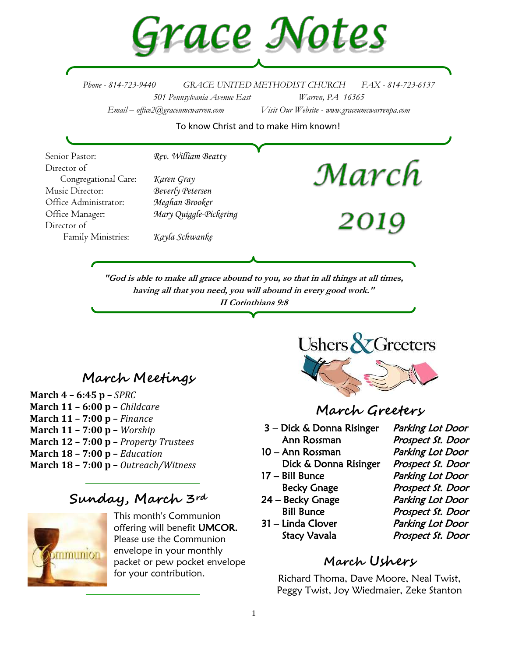

*Phone - 814-723-9440 GRACE UNITED METHODIST CHURCH FAX - 814-723-6137 501 Pennsylvania Avenue East Warren, PA 16365 Email – office2@graceumcwarren.com Visit Our Website - www.graceumcwarrenpa.com* 

To know Christ and to make Him known!

Senior Pastor: *Rev. William Beatty* March Director of Congregational Care: *Karen Gray* Music Director: *Beverly Petersen* Office Administrator: *Meghan Brooker* Office Manager: *Mary Quiggle-Pickering* **2019** Director of Family Ministries: *Kayla Schwanke*

**"God is able to make all grace abound to you, so that in all things at all times, having all that you need, you will abound in every good work." II Corinthians 9:8**

## **March Meetings**

**March 4 – 6:45 p –** *SPRC*  **March 11 – 6:00 p –** *Childcare*  **March 11 – 7:00 p –** *Finance* **March 11 – 7:00 p –** *Worship*  **March 12 – 7:00 p –** *Property Trustees* **March 18 – 7:00 p –** *Education*  **March 18 – 7:00 p –** *Outreach/Witness* 

## **Sunday, March 3rd**



This month's Communion offering will benefit UMCOR. Please use the Communion envelope in your monthly packet or pew pocket envelope for your contribution.



## **March Greeters**

- 3 Dick & Donna Risinger Parking Lot Door
- 
- Dick & Donna Risinger Prospect St. Door
- 
- 24 Becky Gnage Parking Lot Door
- 31 Linda Clover Parking Lot Door

Ann Rossman Prospect St. Door 10 – Ann Rossman Parking Lot Door 17 – Bill Bunce Parking Lot Door Becky Gnage Prospect St. Door Bill Bunce Prospect St. Door Stacy Vavala Prospect St. Door

### **March Ushers**

Richard Thoma, Dave Moore, Neal Twist, Peggy Twist, Joy Wiedmaier, Zeke Stanton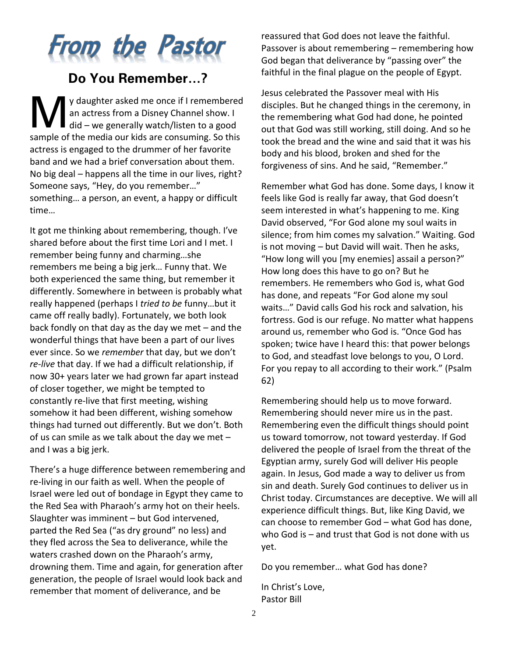

# **Do You Remember…?**

y daughter asked me once if I remembered an actress from a Disney Channel show. I y daughter asked me once if I remembere<br>an actress from a Disney Channel show. I<br>did – we generally watch/listen to a good sample of the media our kids are consuming. So this actress is engaged to the drummer of her favorite band and we had a brief conversation about them. No big deal – happens all the time in our lives, right? Someone says, "Hey, do you remember…" something… a person, an event, a happy or difficult time…

It got me thinking about remembering, though. I've shared before about the first time Lori and I met. I remember being funny and charming…she remembers me being a big jerk… Funny that. We both experienced the same thing, but remember it differently. Somewhere in between is probably what really happened (perhaps I *tried to be* funny…but it came off really badly). Fortunately, we both look back fondly on that day as the day we met – and the wonderful things that have been a part of our lives ever since. So we *remember* that day, but we don't *re-live* that day. If we had a difficult relationship, if now 30+ years later we had grown far apart instead of closer together, we might be tempted to constantly re-live that first meeting, wishing somehow it had been different, wishing somehow things had turned out differently. But we don't. Both of us can smile as we talk about the day we met – and I was a big jerk.

There's a huge difference between remembering and re-living in our faith as well. When the people of Israel were led out of bondage in Egypt they came to the Red Sea with Pharaoh's army hot on their heels. Slaughter was imminent – but God intervened, parted the Red Sea ("as dry ground" no less) and they fled across the Sea to deliverance, while the waters crashed down on the Pharaoh's army, drowning them. Time and again, for generation after generation, the people of Israel would look back and remember that moment of deliverance, and be

reassured that God does not leave the faithful. Passover is about remembering – remembering how God began that deliverance by "passing over" the faithful in the final plague on the people of Egypt.

Jesus celebrated the Passover meal with His disciples. But he changed things in the ceremony, in the remembering what God had done, he pointed out that God was still working, still doing. And so he took the bread and the wine and said that it was his body and his blood, broken and shed for the forgiveness of sins. And he said, "Remember."

Remember what God has done. Some days, I know it feels like God is really far away, that God doesn't seem interested in what's happening to me. King David observed, "For God alone my soul waits in silence; from him comes my salvation." Waiting. God is not moving – but David will wait. Then he asks, "How long will you [my enemies] assail a person?" How long does this have to go on? But he remembers. He remembers who God is, what God has done, and repeats "For God alone my soul waits…" David calls God his rock and salvation, his fortress. God is our refuge. No matter what happens around us, remember who God is. "Once God has spoken; twice have I heard this: that power belongs to God, and steadfast love belongs to you, O Lord. For you repay to all according to their work." (Psalm 62)

Remembering should help us to move forward. Remembering should never mire us in the past. Remembering even the difficult things should point us toward tomorrow, not toward yesterday. If God delivered the people of Israel from the threat of the Egyptian army, surely God will deliver His people again. In Jesus, God made a way to deliver us from sin and death. Surely God continues to deliver us in Christ today. Circumstances are deceptive. We will all experience difficult things. But, like King David, we can choose to remember God – what God has done, who God is – and trust that God is not done with us yet.

Do you remember… what God has done?

In Christ's Love, Pastor Bill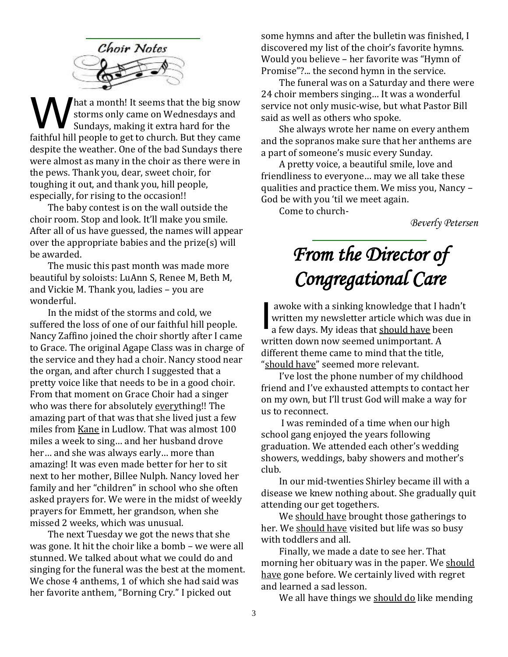

hat a month! It seems that the big snow storms only came on Wednesdays and Sundays, making it extra hard for the faithful hill people to get to church. But they came despite the weather. One of the bad Sundays there were almost as many in the choir as there were in the pews. Thank you, dear, sweet choir, for toughing it out, and thank you, hill people, especially, for rising to the occasion!! W<sub>W</sub>

The baby contest is on the wall outside the choir room. Stop and look. It'll make you smile. After all of us have guessed, the names will appear over the appropriate babies and the prize(s) will be awarded.

The music this past month was made more beautiful by soloists: LuAnn S, Renee M, Beth M, and Vickie M. Thank you, ladies – you are wonderful.

In the midst of the storms and cold, we suffered the loss of one of our faithful hill people. Nancy Zaffino joined the choir shortly after I came to Grace. The original Agape Class was in charge of the service and they had a choir. Nancy stood near the organ, and after church I suggested that a pretty voice like that needs to be in a good choir. From that moment on Grace Choir had a singer who was there for absolutely everything!! The amazing part of that was that she lived just a few miles from Kane in Ludlow. That was almost 100 miles a week to sing… and her husband drove her… and she was always early… more than amazing! It was even made better for her to sit next to her mother, Billee Nulph. Nancy loved her family and her "children" in school who she often asked prayers for. We were in the midst of weekly prayers for Emmett, her grandson, when she missed 2 weeks, which was unusual.

The next Tuesday we got the news that she was gone. It hit the choir like a bomb – we were all stunned. We talked about what we could do and singing for the funeral was the best at the moment. We chose 4 anthems, 1 of which she had said was her favorite anthem, "Borning Cry." I picked out

some hymns and after the bulletin was finished, I discovered my list of the choir's favorite hymns. Would you believe – her favorite was "Hymn of Promise"?... the second hymn in the service.

The funeral was on a Saturday and there were 24 choir members singing… It was a wonderful service not only music-wise, but what Pastor Bill said as well as others who spoke.

She always wrote her name on every anthem and the sopranos make sure that her anthems are a part of someone's music every Sunday.

A pretty voice, a beautiful smile, love and friendliness to everyone… may we all take these qualities and practice them. We miss you, Nancy – God be with you 'til we meet again.

Come to church-

*Beverly Petersen*

# *From the Director of Congregational Care*

awoke with a sinking knowledge that I hadn't written my newsletter article which was due in a few days. My ideas that should have been written down now seemed unimportant. A different theme came to mind that the title, "should have" seemed more relevant. I

I've lost the phone number of my childhood friend and I've exhausted attempts to contact her on my own, but I'll trust God will make a way for us to reconnect.

I was reminded of a time when our high school gang enjoyed the years following graduation. We attended each other's wedding showers, weddings, baby showers and mother's club.

In our mid-twenties Shirley became ill with a disease we knew nothing about. She gradually quit attending our get togethers.

We should have brought those gatherings to her. We should have visited but life was so busy with toddlers and all.

Finally, we made a date to see her. That morning her obituary was in the paper. We should have gone before. We certainly lived with regret and learned a sad lesson.

We all have things we should do like mending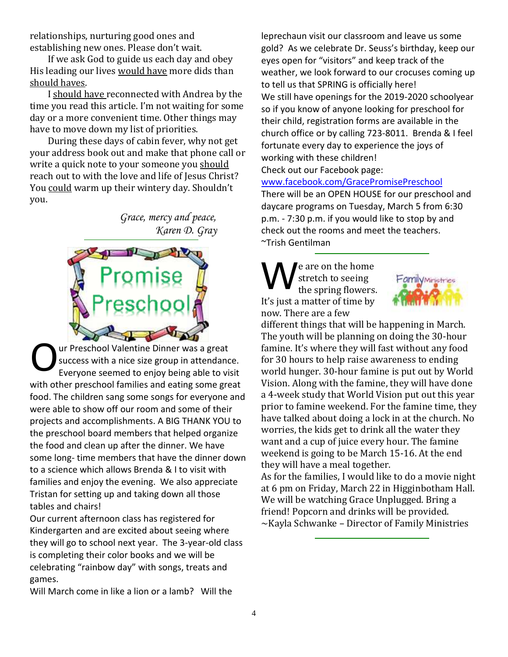relationships, nurturing good ones and establishing new ones. Please don't wait.

If we ask God to guide us each day and obey His leading our lives would have more dids than should haves.

I should have reconnected with Andrea by the time you read this article. I'm not waiting for some day or a more convenient time. Other things may have to move down my list of priorities.

During these days of cabin fever, why not get your address book out and make that phone call or write a quick note to your someone you should reach out to with the love and life of Jesus Christ? You could warm up their wintery day. Shouldn't you.

> *Grace, mercy and peace, Karen D. Gray*



ur Preschool Valentine Dinner was a great success with a nice size group in attendance. Everyone seemed to enjoy being able to visit with other preschool families and eating some great food. The children sang some songs for everyone and were able to show off our room and some of their projects and accomplishments. A BIG THANK YOU to the preschool board members that helped organize the food and clean up after the dinner. We have some long- time members that have the dinner down to a science which allows Brenda & I to visit with families and enjoy the evening. We also appreciate Tristan for setting up and taking down all those tables and chairs! O

Our current afternoon class has registered for Kindergarten and are excited about seeing where they will go to school next year. The 3-year-old class is completing their color books and we will be celebrating "rainbow day" with songs, treats and games.

Will March come in like a lion or a lamb? Will the

leprechaun visit our classroom and leave us some gold? As we celebrate Dr. Seuss's birthday, keep our eyes open for "visitors" and keep track of the weather, we look forward to our crocuses coming up to tell us that SPRING is officially here! We still have openings for the 2019-2020 schoolyear so if you know of anyone looking for preschool for their child, registration forms are available in the church office or by calling 723-8011. Brenda & I feel fortunate every day to experience the joys of working with these children!

Check out our Facebook page:

#### [www.facebook.com/GracePromisePreschool](http://www.facebook.com/GracePromisePreschool)

There will be an OPEN HOUSE for our preschool and daycare programs on Tuesday, March 5 from 6:30 p.m. - 7:30 p.m. if you would like to stop by and check out the rooms and meet the teachers. ~Trish Gentilman

e are on the home stretch to seeing the spring flowers. It's just a matter of time by now. There are a few W



different things that will be happening in March. The youth will be planning on doing the 30-hour famine. It's where they will fast without any food for 30 hours to help raise awareness to ending world hunger. 30-hour famine is put out by World Vision. Along with the famine, they will have done a 4-week study that World Vision put out this year prior to famine weekend. For the famine time, they have talked about doing a lock in at the church. No worries, the kids get to drink all the water they want and a cup of juice every hour. The famine weekend is going to be March 15-16. At the end they will have a meal together.

As for the families, I would like to do a movie night at 6 pm on Friday, March 22 in Higginbotham Hall. We will be watching Grace Unplugged. Bring a friend! Popcorn and drinks will be provided. ~Kayla Schwanke – Director of Family Ministries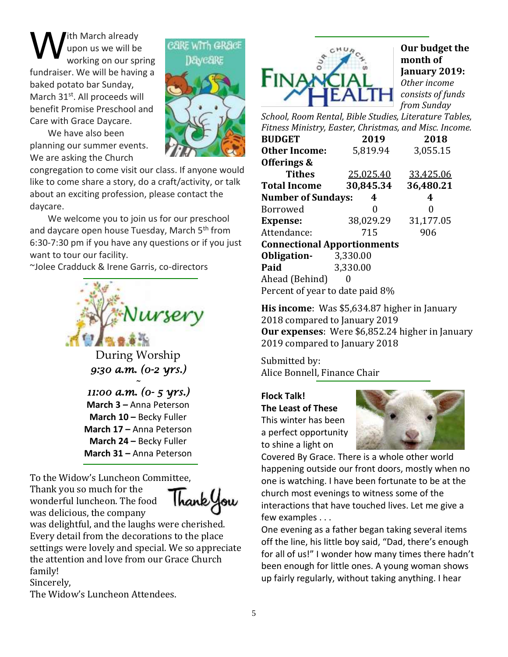ith March already upon us we will be working on our spring fundraiser. We will be having a baked potato bar Sunday, March 31<sup>st</sup>. All proceeds will benefit Promise Preschool and Care with Grace Daycare. W

We have also been planning our summer events. We are asking the Church



congregation to come visit our class. If anyone would like to come share a story, do a craft/activity, or talk about an exciting profession, please contact the daycare.

We welcome you to join us for our preschool and daycare open house Tuesday, March 5<sup>th</sup> from 6:30-7:30 pm if you have any questions or if you just want to tour our facility.

~Jolee Cradduck & Irene Garris, co-directors



During Worship *9:30 a.m. (0-2 yrs.) ~* 

*11:00 a.m. (0- 5 yrs.)*  **March 3** *–* Anna Peterson **March 10 –** Becky Fuller **March 17 –** Anna Peterson **March 24 –** Becky Fuller **March 31 –** Anna Peterson

To the Widow's Luncheon Committee, Thank you so much for the wonderful luncheon. The food



was delicious, the company was delightful, and the laughs were cherished. Every detail from the decorations to the place settings were lovely and special. We so appreciate the attention and love from our Grace Church family!

Sincerely,

The Widow's Luncheon Attendees.



**Our budget the month of January 2019:** *Other income consists of funds from Sunday* 

*School, Room Rental, Bible Studies, Literature Tables, Fitness Ministry, Easter, Christmas, and Misc. Income.*

| <b>BUDGET</b>                      | 2019      | 2018      |  |  |  |  |  |
|------------------------------------|-----------|-----------|--|--|--|--|--|
| <b>Other Income:</b>               | 5,819.94  | 3,055.15  |  |  |  |  |  |
| Offerings &                        |           |           |  |  |  |  |  |
| <b>Tithes</b>                      | 25,025.40 | 33,425.06 |  |  |  |  |  |
| <b>Total Income</b>                | 30,845.34 | 36,480.21 |  |  |  |  |  |
| <b>Number of Sundays:</b>          | 4         | 4         |  |  |  |  |  |
| <b>Borrowed</b>                    | 0         | 0         |  |  |  |  |  |
| <b>Expense:</b>                    | 38,029.29 | 31,177.05 |  |  |  |  |  |
| Attendance:                        | 715       | 906       |  |  |  |  |  |
| <b>Connectional Apportionments</b> |           |           |  |  |  |  |  |
| Obligation-                        | 3,330.00  |           |  |  |  |  |  |
| Paid                               | 3,330.00  |           |  |  |  |  |  |
| Ahead (Behind)                     |           |           |  |  |  |  |  |
| Percent of year to date paid 8%    |           |           |  |  |  |  |  |

**His income**: Was \$5,634.87 higher in January 2018 compared to January 2019 **Our expenses**: Were \$6,852.24 higher in January 2019 compared to January 2018

Submitted by: Alice Bonnell, Finance Chair

#### **Flock Talk!**

**The Least of These** This winter has been a perfect opportunity to shine a light on



Covered By Grace. There is a whole other world happening outside our front doors, mostly when no one is watching. I have been fortunate to be at the church most evenings to witness some of the interactions that have touched lives. Let me give a few examples . . .

One evening as a father began taking several items off the line, his little boy said, "Dad, there's enough for all of us!" I wonder how many times there hadn't been enough for little ones. A young woman shows up fairly regularly, without taking anything. I hear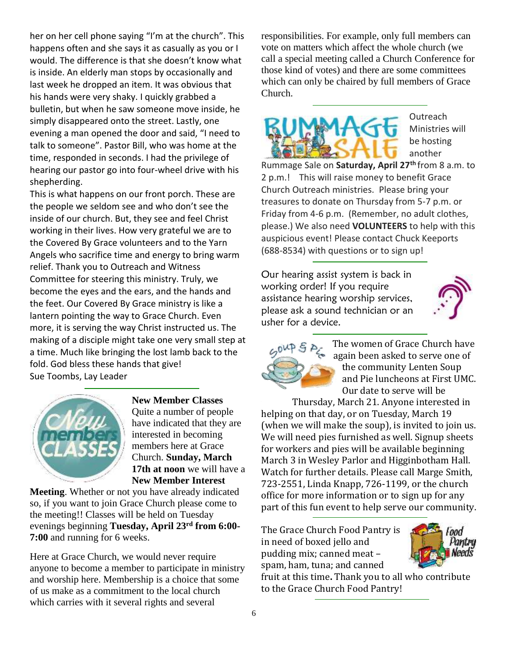her on her cell phone saying "I'm at the church". This happens often and she says it as casually as you or I would. The difference is that she doesn't know what is inside. An elderly man stops by occasionally and last week he dropped an item. It was obvious that his hands were very shaky. I quickly grabbed a bulletin, but when he saw someone move inside, he simply disappeared onto the street. Lastly, one evening a man opened the door and said, "I need to talk to someone". Pastor Bill, who was home at the time, responded in seconds. I had the privilege of hearing our pastor go into four-wheel drive with his shepherding.

This is what happens on our front porch. These are the people we seldom see and who don't see the inside of our church. But, they see and feel Christ working in their lives. How very grateful we are to the Covered By Grace volunteers and to the Yarn Angels who sacrifice time and energy to bring warm relief. Thank you to Outreach and Witness Committee for steering this ministry. Truly, we become the eyes and the ears, and the hands and the feet. Our Covered By Grace ministry is like a lantern pointing the way to Grace Church. Even more, it is serving the way Christ instructed us. The making of a disciple might take one very small step at a time. Much like bringing the lost lamb back to the fold. God bless these hands that give! Sue Toombs, Lay Leader



**New Member Classes** Quite a number of people have indicated that they are interested in becoming members here at Grace Church. **Sunday, March 17th at noon** we will have a **New Member Interest** 

**Meeting**. Whether or not you have already indicated so, if you want to join Grace Church please come to the meeting!! Classes will be held on Tuesday evenings beginning **Tuesday, April 23rd from 6:00- 7:00** and running for 6 weeks.

Here at Grace Church, we would never require anyone to become a member to participate in ministry and worship here. Membership is a choice that some of us make as a commitment to the local church which carries with it several rights and several

responsibilities. For example, only full members can vote on matters which affect the whole church (we call a special meeting called a Church Conference for those kind of votes) and there are some committees which can only be chaired by full members of Grace Church.



Outreach Ministries will be hosting another

Rummage Sale on **Saturday, April 27th** from 8 a.m. to 2 p.m.! This will raise money to benefit Grace Church Outreach ministries. Please bring your treasures to donate on Thursday from 5-7 p.m. or Friday from 4-6 p.m. (Remember, no adult clothes, please.) We also need **VOLUNTEERS** to help with this auspicious event! Please contact Chuck Keeports (688-8534) with questions or to sign up!

Our hearing assist system is back in working order! If you require assistance hearing worship services, please ask a sound technician or an usher for a device.





The women of Grace Church have again been asked to serve one of the community Lenten Soup and Pie luncheons at First UMC. Our date to serve will be

Thursday, March 21. Anyone interested in helping on that day, or on Tuesday, March 19 (when we will make the soup), is invited to join us. We will need pies furnished as well. Signup sheets for workers and pies will be available beginning March 3 in Wesley Parlor and Higginbotham Hall. Watch for further details. Please call Marge Smith, 723-2551, Linda Knapp, 726-1199, or the church office for more information or to sign up for any part of this fun event to help serve our community.

The Grace Church Food Pantry is in need of boxed jello and pudding mix; canned meat – spam, ham, tuna; and canned



fruit at this time**.** Thank you to all who contribute to the Grace Church Food Pantry!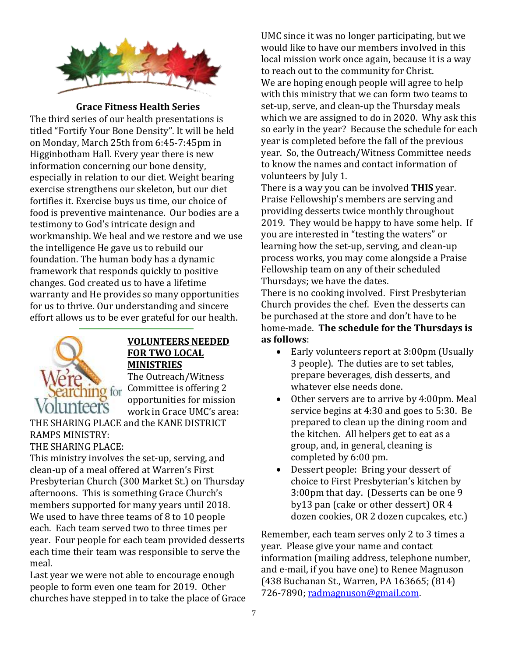

**Grace Fitness Health Series**

The third series of our health presentations is titled "Fortify Your Bone Density". It will be held on Monday, March 25th from 6:45-7:45pm in Higginbotham Hall. Every year there is new information concerning our bone density, especially in relation to our diet. Weight bearing exercise strengthens our skeleton, but our diet fortifies it. Exercise buys us time, our choice of food is preventive maintenance. Our bodies are a testimony to God's intricate design and workmanship. We heal and we restore and we use the intelligence He gave us to rebuild our foundation. The human body has a dynamic framework that responds quickly to positive changes. God created us to have a lifetime warranty and He provides so many opportunities for us to thrive. Our understanding and sincere effort allows us to be ever grateful for our health.



#### **VOLUNTEERS NEEDED FOR TWO LOCAL MINISTRIES**

The Outreach/Witness Committee is offering 2 opportunities for mission work in Grace UMC's area:

THE SHARING PLACE and the KANE DISTRICT RAMPS MINISTRY:

## THE SHARING PLACE:

This ministry involves the set-up, serving, and clean-up of a meal offered at Warren's First Presbyterian Church (300 Market St.) on Thursday afternoons. This is something Grace Church's members supported for many years until 2018. We used to have three teams of 8 to 10 people each. Each team served two to three times per year. Four people for each team provided desserts each time their team was responsible to serve the meal.

Last year we were not able to encourage enough people to form even one team for 2019. Other churches have stepped in to take the place of Grace UMC since it was no longer participating, but we would like to have our members involved in this local mission work once again, because it is a way to reach out to the community for Christ. We are hoping enough people will agree to help with this ministry that we can form two teams to set-up, serve, and clean-up the Thursday meals which we are assigned to do in 2020. Why ask this so early in the year? Because the schedule for each year is completed before the fall of the previous year. So, the Outreach/Witness Committee needs to know the names and contact information of volunteers by July 1.

There is a way you can be involved **THIS** year. Praise Fellowship's members are serving and providing desserts twice monthly throughout 2019. They would be happy to have some help. If you are interested in "testing the waters" or learning how the set-up, serving, and clean-up process works, you may come alongside a Praise Fellowship team on any of their scheduled Thursdays; we have the dates.

There is no cooking involved. First Presbyterian Church provides the chef. Even the desserts can be purchased at the store and don't have to be home-made. **The schedule for the Thursdays is as follows**:

- Early volunteers report at 3:00pm (Usually 3 people). The duties are to set tables, prepare beverages, dish desserts, and whatever else needs done.
- Other servers are to arrive by 4:00pm. Meal service begins at 4:30 and goes to 5:30. Be prepared to clean up the dining room and the kitchen. All helpers get to eat as a group, and, in general, cleaning is completed by 6:00 pm.
- Dessert people: Bring your dessert of choice to First Presbyterian's kitchen by 3:00pm that day. (Desserts can be one 9 by13 pan (cake or other dessert) OR 4 dozen cookies, OR 2 dozen cupcakes, etc.)

Remember, each team serves only 2 to 3 times a year. Please give your name and contact information (mailing address, telephone number, and e-mail, if you have one) to Renee Magnuson (438 Buchanan St., Warren, PA 163665; (814) 726-7890; [radmagnuson@gmail.com.](mailto:radmagnuson@gmail.com)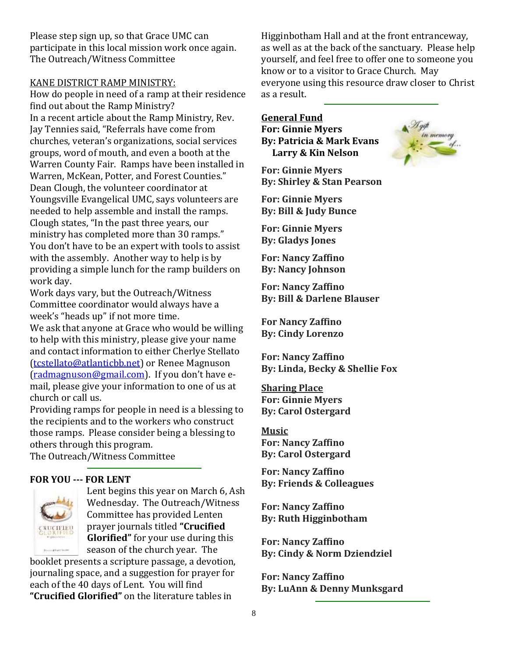Please step sign up, so that Grace UMC can participate in this local mission work once again. The Outreach/Witness Committee

#### KANE DISTRICT RAMP MINISTRY:

How do people in need of a ramp at their residence find out about the Ramp Ministry? In a recent article about the Ramp Ministry, Rev. Jay Tennies said, "Referrals have come from churches, veteran's organizations, social services groups, word of mouth, and even a booth at the Warren County Fair. Ramps have been installed in Warren, McKean, Potter, and Forest Counties." Dean Clough, the volunteer coordinator at Youngsville Evangelical UMC, says volunteers are needed to help assemble and install the ramps. Clough states, "In the past three years, our ministry has completed more than 30 ramps." You don't have to be an expert with tools to assist with the assembly. Another way to help is by providing a simple lunch for the ramp builders on work day.

Work days vary, but the Outreach/Witness Committee coordinator would always have a week's "heads up" if not more time.

We ask that anyone at Grace who would be willing to help with this ministry, please give your name and contact information to either Cherlye Stellato [\(tcstellato@atlanticbb.net\)](mailto:tcstellato@atlanticbb.net) or Renee Magnuson [\(radmagnuson@gmail.com](mailto:radmagnuson@gmail.com)). If you don't have email, please give your information to one of us at church or call us.

Providing ramps for people in need is a blessing to the recipients and to the workers who construct those ramps. Please consider being a blessing to others through this program.

The Outreach/Witness Committee

#### **FOR YOU --- FOR LENT**



Lent begins this year on March 6, Ash Wednesday. The Outreach/Witness Committee has provided Lenten prayer journals titled **"Crucified Glorified"** for your use during this season of the church year. The

booklet presents a scripture passage, a devotion, journaling space, and a suggestion for prayer for each of the 40 days of Lent. You will find **"Crucified Glorified"** on the literature tables in

Higginbotham Hall and at the front entranceway, as well as at the back of the sanctuary. Please help yourself, and feel free to offer one to someone you know or to a visitor to Grace Church. May everyone using this resource draw closer to Christ as a result.

#### **General Fund**

**For: Ginnie Myers By: Patricia & Mark Evans Larry & Kin Nelson**

**For: Ginnie Myers By: Shirley & Stan Pearson**

**For: Ginnie Myers By: Bill & Judy Bunce**

**For: Ginnie Myers By: Gladys Jones**

**For: Nancy Zaffino By: Nancy Johnson**

**For: Nancy Zaffino By: Bill & Darlene Blauser**

**For Nancy Zaffino By: Cindy Lorenzo**

**For: Nancy Zaffino By: Linda, Becky & Shellie Fox**

**Sharing Place For: Ginnie Myers By: Carol Ostergard**

**Music For: Nancy Zaffino By: Carol Ostergard**

**For: Nancy Zaffino By: Friends & Colleagues**

**For: Nancy Zaffino By: Ruth Higginbotham**

**For: Nancy Zaffino By: Cindy & Norm Dziendziel**

**For: Nancy Zaffino By: LuAnn & Denny Munksgard**

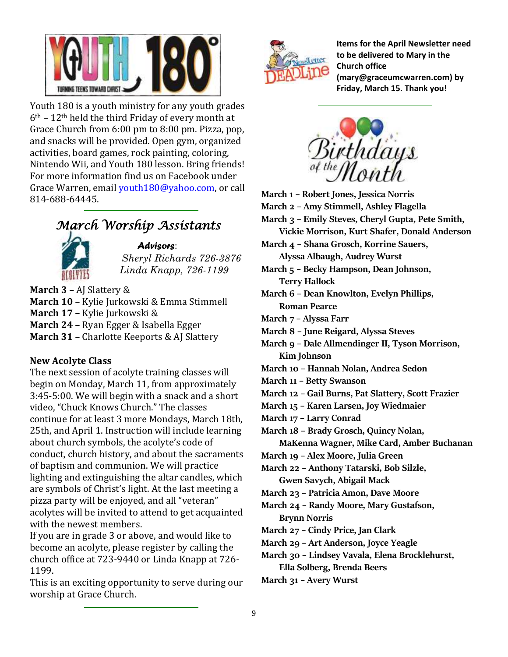

Youth 180 is a youth ministry for any youth grades  $6<sup>th</sup>$  – 12<sup>th</sup> held the third Friday of every month at Grace Church from 6:00 pm to 8:00 pm. Pizza, pop, and snacks will be provided. Open gym, organized activities, board games, rock painting, coloring, Nintendo Wii, and Youth 180 lesson. Bring friends! For more information find us on Facebook under Grace Warren, email [youth180@yahoo.com,](mailto:youth180@yahoo.com) or call 814-688-64445.

# *March Worship Assistants*



*Advisors*: *Sheryl Richards 726-3876 Linda Knapp, 726-1199*

**March 3 –** AJ Slattery & **March 10 –** Kylie Jurkowski & Emma Stimmell **March 17 –** Kylie Jurkowski & **March 24 –** Ryan Egger & Isabella Egger **March 31 –** Charlotte Keeports & AJ Slattery

#### **New Acolyte Class**

The next session of acolyte training classes will begin on Monday, March 11, from approximately 3:45-5:00. We will begin with a snack and a short video, "Chuck Knows Church." The classes continue for at least 3 more Mondays, March 18th, 25th, and April 1. Instruction will include learning about church symbols, the acolyte's code of conduct, church history, and about the sacraments of baptism and communion. We will practice lighting and extinguishing the altar candles, which are symbols of Christ's light. At the last meeting a pizza party will be enjoyed, and all "veteran" acolytes will be invited to attend to get acquainted with the newest members.

If you are in grade 3 or above, and would like to become an acolyte, please register by calling the church office at 723-9440 or Linda Knapp at 726- 1199.

This is an exciting opportunity to serve during our worship at Grace Church.



**Items for the April Newsletter need to be delivered to Mary in the Church office (mary@graceumcwarren.com) by Friday, March 15. Thank you!**



**March 1 – Robert Jones, Jessica Norris March 2 – Amy Stimmell, Ashley Flagella March 3 – Emily Steves, Cheryl Gupta, Pete Smith, Vickie Morrison, Kurt Shafer, Donald Anderson March 4 – Shana Grosch, Korrine Sauers, Alyssa Albaugh, Audrey Wurst March 5 – Becky Hampson, Dean Johnson, Terry Hallock March 6 – Dean Knowlton, Evelyn Phillips, Roman Pearce March 7 – Alyssa Farr March 8 – June Reigard, Alyssa Steves March 9 – Dale Allmendinger II, Tyson Morrison, Kim Johnson March 10 – Hannah Nolan, Andrea Sedon March 11 – Betty Swanson March 12 – Gail Burns, Pat Slattery, Scott Frazier March 15 – Karen Larsen, Joy Wiedmaier March 17 – Larry Conrad March 18 – Brady Grosch, Quincy Nolan, MaKenna Wagner, Mike Card, Amber Buchanan March 19 – Alex Moore, Julia Green March 22 – Anthony Tatarski, Bob Silzle, Gwen Savych, Abigail Mack March 23 – Patricia Amon, Dave Moore March 24 – Randy Moore, Mary Gustafson, Brynn Norris March 27 – Cindy Price, Jan Clark March 29 – Art Anderson, Joyce Yeagle March 30 – Lindsey Vavala, Elena Brocklehurst, Ella Solberg, Brenda Beers**

**March 31 – Avery Wurst**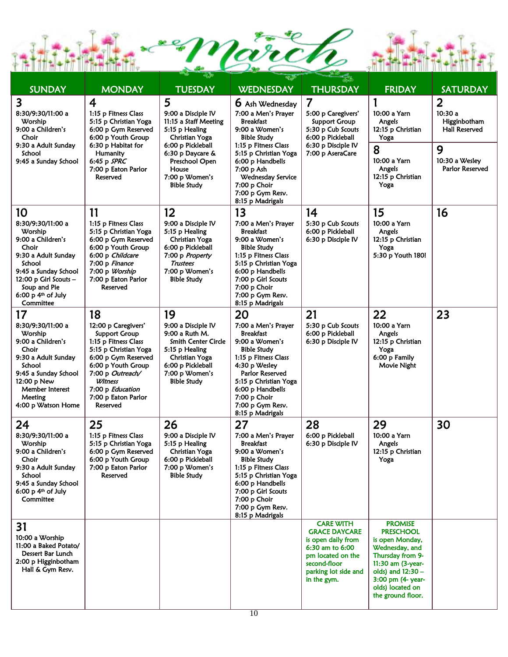

| <b>SUNDAY</b>                                                                                                                                                                                                                                                                                                   | <b>MONDAY</b>                                                                                                                                                                                                                  | <b>TUESDAY</b>                                                                                                                                                                                   | <b>WEDNESDAY</b>                                                                                                                                                                                                                                            | <b>THURSDAY</b>                                                                                                                                               | <b>FRIDAY</b>                                                                                                                                                                                         | <b>SATURDAY</b>                                                  |
|-----------------------------------------------------------------------------------------------------------------------------------------------------------------------------------------------------------------------------------------------------------------------------------------------------------------|--------------------------------------------------------------------------------------------------------------------------------------------------------------------------------------------------------------------------------|--------------------------------------------------------------------------------------------------------------------------------------------------------------------------------------------------|-------------------------------------------------------------------------------------------------------------------------------------------------------------------------------------------------------------------------------------------------------------|---------------------------------------------------------------------------------------------------------------------------------------------------------------|-------------------------------------------------------------------------------------------------------------------------------------------------------------------------------------------------------|------------------------------------------------------------------|
| 3<br>4<br>8:30/9:30/11:00 a<br>1:15 p Fitness Class<br>5:15 p Christian Yoga<br>Worship<br>6:00 p Gym Reserved<br>9:00 a Children's<br>Choir<br>6:00 p Youth Group<br>6:30 p Habitat for<br>9:30 a Adult Sunday<br>School<br>Humanity<br>9:45 a Sunday School<br>6:45 p SPRC<br>7:00 p Eaton Parlor<br>Reserved |                                                                                                                                                                                                                                | 5<br>9:00 a Disciple IV<br>11:15 a Staff Meeting<br>5:15 p Healing<br>Christian Yoga<br>6:00 p Pickleball<br>6:30 p Daycare &<br>Preschool Open<br>House<br>7:00 p Women's<br><b>Bible Study</b> | 6 Ash Wednesday<br>7:00 a Men's Prayer<br><b>Breakfast</b><br>9:00 a Women's<br>Bible Study<br>1:15 p Fitness Class<br>5:15 p Christian Yoga<br>6:00 p Handbells<br>7:00 p Ash<br>Wednesday Service<br>7:00 p Choir<br>7:00 p Gym Resv.<br>8:15 p Madrigals | $\overline{7}$<br>5:00 p Caregivers'<br>Support Group<br>5:30 p Cub Scouts<br>6:00 p Pickleball<br>6:30 p Disciple IV<br>7:00 p AseraCare                     | 10:00 a Yarn<br>Angels<br>12:15 p Christian<br>Yoga                                                                                                                                                   | $\overline{2}$<br>10:30a<br>Higginbotham<br><b>Hall Reserved</b> |
|                                                                                                                                                                                                                                                                                                                 |                                                                                                                                                                                                                                |                                                                                                                                                                                                  |                                                                                                                                                                                                                                                             |                                                                                                                                                               | 8<br>10:00 a Yarn<br>Angels<br>12:15 p Christian<br>Yoga                                                                                                                                              | 9<br>10:30 a Wesley<br>Parlor Reserved                           |
| 10<br>8:30/9:30/11:00 a<br>Worship<br>9:00 a Children's<br>Choir<br>9:30 a Adult Sunday<br>School<br>9:45 a Sunday School<br>12:00 p Girl Scouts -<br>Soup and Pie<br>6:00 $p$ 4 <sup>th</sup> of July<br>Committee                                                                                             | 11<br>1:15 p Fitness Class<br>5:15 p Christian Yoga<br>6:00 p Gym Reserved<br>6:00 p Youth Group<br>6:00 p Childcare<br>7:00 p Finance<br>7:00 p Worship<br>7:00 p Eaton Parlor<br>Reserved                                    | 12<br>9:00 a Disciple IV<br>5:15 p Healing<br>Christian Yoga<br>6:00 p Pickleball<br>7:00 p Property<br><b>Trustees</b><br>7:00 p Women's<br>Bible Study                                         | 13<br>7:00 a Men's Prayer<br>Breakfast<br>9:00 a Women's<br><b>Bible Study</b><br>1:15 p Fitness Class<br>5:15 p Christian Yoga<br>6:00 p Handbells<br>7:00 p Girl Scouts<br>7:00 p Choir<br>7:00 p Gym Resv.<br>8:15 p Madrigals                           | 14<br>5:30 p Cub Scouts<br>6:00 p Pickleball<br>6:30 p Disciple IV                                                                                            | 15<br>10:00 a Yarn<br>Angels<br>12:15 p Christian<br>Yoga<br>5:30 p Youth 180!                                                                                                                        | 16                                                               |
| 17<br>8:30/9:30/11:00 a<br>Worship<br>9:00 a Children's<br>Choir<br>9:30 a Adult Sunday<br>School<br>9:45 a Sunday School<br>12:00 p New<br>Member Interest<br>Meeting<br>4:00 p Watson Home                                                                                                                    | 18<br>12:00 p Caregivers'<br>Support Group<br>1:15 p Fitness Class<br>5:15 p Christian Yoga<br>6:00 p Gym Reserved<br>6:00 p Youth Group<br>7:00 p Outreach/<br>Witness<br>7:00 p Education<br>7:00 p Eaton Parlor<br>Reserved | 19<br>9:00 a Disciple IV<br>9:00 a Ruth M.<br><b>Smith Center Circle</b><br>5:15 p Healing<br>Christian Yoga<br>6:00 p Pickleball<br>7:00 p Women's<br><b>Bible Study</b>                        | 20<br>7:00 a Men's Prayer<br><b>Breakfast</b><br>9:00 a Women's<br>Bible Study<br>1:15 p Fitness Class<br>4:30 p Wesley<br>Parlor Reserved<br>5:15 p Christian Yoga<br>6:00 p Handbells<br>7:00 p Choir<br>7:00 p Gym Resv.<br>8:15 p Madrigals             | 21<br>5:30 p Cub Scouts<br>6:00 p Pickleball<br>6:30 p Disciple IV                                                                                            | 22<br>10:00 a Yarn<br>Angels<br>12:15 p Christian<br>Yoga<br>6:00 p Family<br>Movie Night                                                                                                             | 23                                                               |
| 24<br>8:30/9:30/11:00 a<br>Worship<br>9:00 a Children's<br>Choir<br>9:30 a Adult Sunday<br>School<br>9:45 a Sunday School<br>$6:00$ p $4th$ of July<br>Committee                                                                                                                                                | 25<br>1:15 p Fitness Class<br>5:15 p Christian Yoga<br>6:00 p Gym Reserved<br>6:00 p Youth Group<br>7:00 p Eaton Parlor<br>Reserved                                                                                            | 26<br>9:00 a Disciple IV<br>5:15 p Healing<br>Christian Yoga<br>6:00 p Pickleball<br>7:00 p Women's<br><b>Bible Study</b>                                                                        | 27<br>7:00 a Men's Prayer<br>Breakfast<br>9:00 a Women's<br><b>Bible Study</b><br>1:15 p Fitness Class<br>5:15 p Christian Yoga<br>6:00 p Handbells<br>7:00 p Girl Scouts<br>7:00 p Choir<br>7:00 p Gym Resv.<br>8:15 p Madrigals                           | 28<br>6:00 p Pickleball<br>6:30 p Disciple IV                                                                                                                 | 29<br>10:00 a Yarn<br>Angels<br>12:15 p Christian<br>Yoga                                                                                                                                             | 30                                                               |
| 31<br>10:00 a Worship<br>11:00 a Baked Potato/<br>Dessert Bar Lunch<br>2:00 p Higginbotham<br>Hall & Gym Resv.                                                                                                                                                                                                  |                                                                                                                                                                                                                                |                                                                                                                                                                                                  |                                                                                                                                                                                                                                                             | <b>CARE WITH</b><br><b>GRACE DAYCARE</b><br>is open daily from<br>6:30 am to 6:00<br>pm located on the<br>second-floor<br>parking lot side and<br>in the gym. | <b>PROMISE</b><br><b>PRESCHOOL</b><br>is open Monday,<br>Wednesday, and<br>Thursday from 9-<br>11:30 am (3-year-<br>olds) and $12:30 -$<br>3:00 pm (4- year-<br>olds) located on<br>the ground floor. |                                                                  |